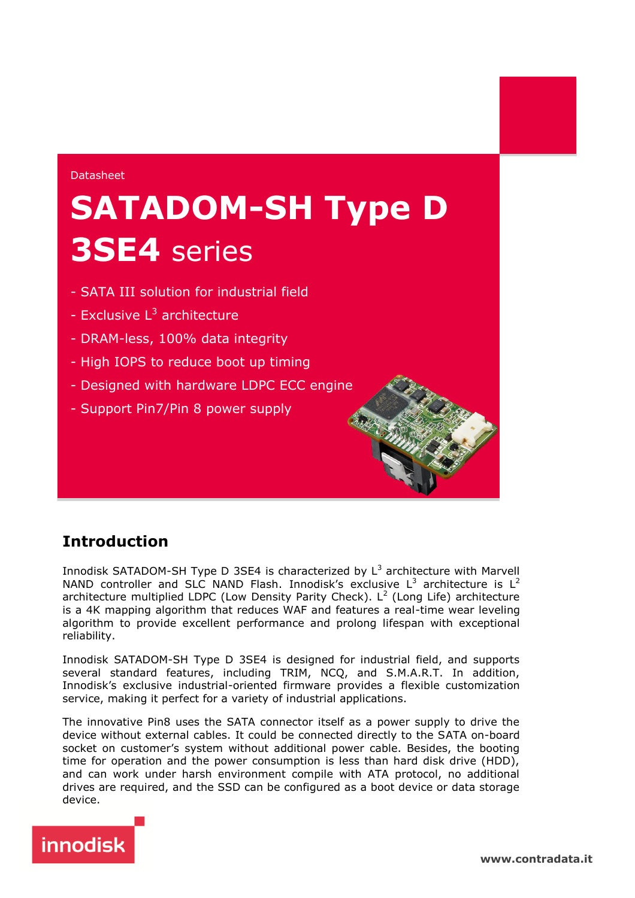#### Datasheet

# **SATADOM-SH Type D 3SE4** series

- SATA III solution for industrial field
- Exclusive L<sup>3</sup> architecture
- DRAM-less, 100% data integrity
- High IOPS to reduce boot up timing
- Designed with hardware LDPC ECC engine
- Support Pin7/Pin 8 power supply

## **Introduction**

Innodisk SATADOM-SH Type D 3SE4 is characterized by  $L^3$  architecture with Marvell NAND controller and SLC NAND Flash. Innodisk's exclusive  $L^3$  architecture is  $L^2$ architecture multiplied LDPC (Low Density Parity Check). L<sup>2</sup> (Long Life) architecture is a 4K mapping algorithm that reduces WAF and features a real-time wear leveling algorithm to provide excellent performance and prolong lifespan with exceptional reliability.

Innodisk SATADOM-SH Type D 3SE4 is designed for industrial field, and supports several standard features, including TRIM, NCQ, and S.M.A.R.T. In addition, Innodisk's exclusive industrial-oriented firmware provides a flexible customization service, making it perfect for a variety of industrial applications.

The innovative Pin8 uses the SATA connector itself as a power supply to drive the device without external cables. It could be connected directly to the SATA on-board socket on customer's system without additional power cable. Besides, the booting time for operation and the power consumption is less than hard disk drive (HDD), and can work under harsh environment compile with ATA protocol, no additional drives are required, and the SSD can be configured as a boot device or data storage device.